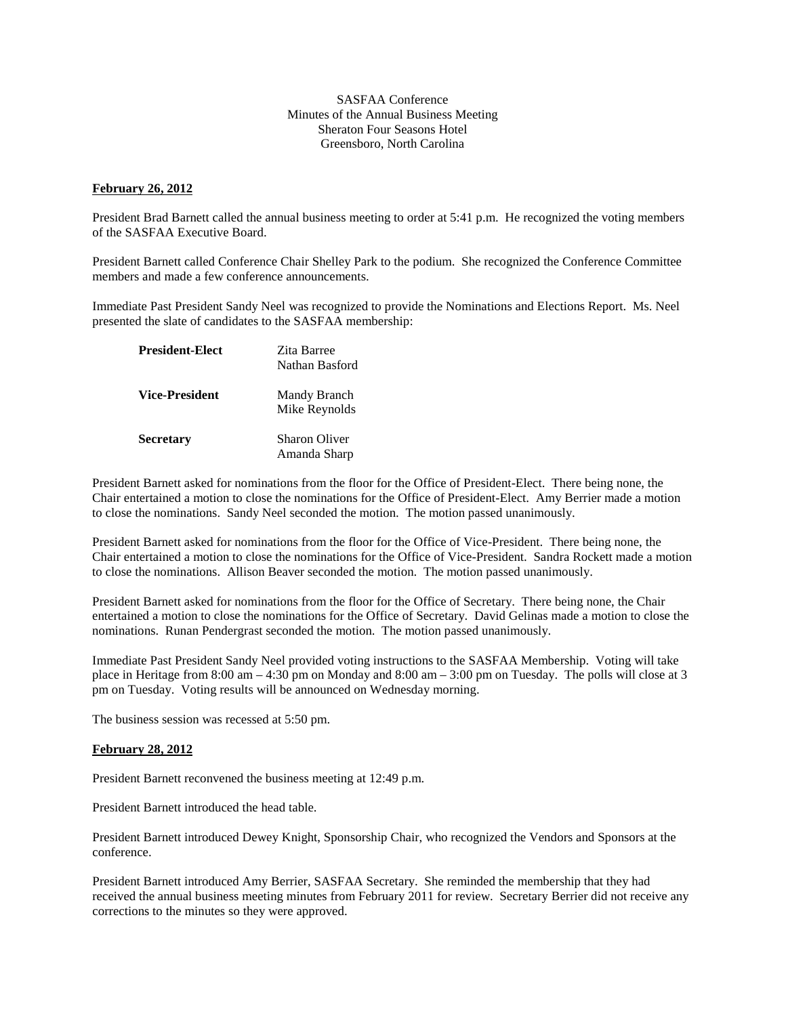## SASFAA Conference Minutes of the Annual Business Meeting Sheraton Four Seasons Hotel Greensboro, North Carolina

## **February 26, 2012**

President Brad Barnett called the annual business meeting to order at 5:41 p.m. He recognized the voting members of the SASFAA Executive Board.

President Barnett called Conference Chair Shelley Park to the podium. She recognized the Conference Committee members and made a few conference announcements.

Immediate Past President Sandy Neel was recognized to provide the Nominations and Elections Report. Ms. Neel presented the slate of candidates to the SASFAA membership:

| <b>President-Elect</b> | Zita Barree<br>Nathan Basford |
|------------------------|-------------------------------|
| <b>Vice-President</b>  | Mandy Branch<br>Mike Reynolds |
| <b>Secretary</b>       | Sharon Oliver<br>Amanda Sharp |

President Barnett asked for nominations from the floor for the Office of President-Elect. There being none, the Chair entertained a motion to close the nominations for the Office of President-Elect. Amy Berrier made a motion to close the nominations. Sandy Neel seconded the motion. The motion passed unanimously.

President Barnett asked for nominations from the floor for the Office of Vice-President. There being none, the Chair entertained a motion to close the nominations for the Office of Vice-President. Sandra Rockett made a motion to close the nominations. Allison Beaver seconded the motion. The motion passed unanimously.

President Barnett asked for nominations from the floor for the Office of Secretary. There being none, the Chair entertained a motion to close the nominations for the Office of Secretary. David Gelinas made a motion to close the nominations. Runan Pendergrast seconded the motion. The motion passed unanimously.

Immediate Past President Sandy Neel provided voting instructions to the SASFAA Membership. Voting will take place in Heritage from 8:00 am – 4:30 pm on Monday and 8:00 am – 3:00 pm on Tuesday. The polls will close at 3 pm on Tuesday. Voting results will be announced on Wednesday morning.

The business session was recessed at 5:50 pm.

## **February 28, 2012**

President Barnett reconvened the business meeting at 12:49 p.m.

President Barnett introduced the head table.

President Barnett introduced Dewey Knight, Sponsorship Chair, who recognized the Vendors and Sponsors at the conference.

President Barnett introduced Amy Berrier, SASFAA Secretary. She reminded the membership that they had received the annual business meeting minutes from February 2011 for review. Secretary Berrier did not receive any corrections to the minutes so they were approved.